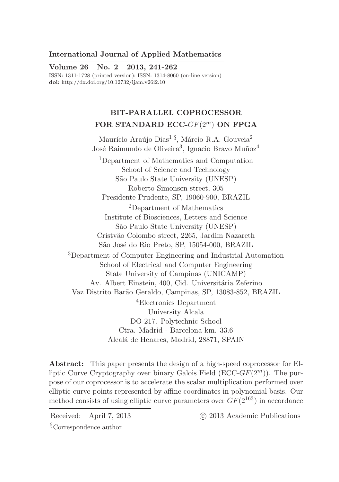# International Journal of Applied Mathematics

————————————————————– Volume 26 No. 2 2013, 241-262 ISSN: 1311-1728 (printed version); ISSN: 1314-8060 (on-line version) doi: http://dx.doi.org/10.12732/ijam.v26i2.10

# BIT-PARALLEL COPROCESSOR FOR STANDARD ECC- $GF(2<sup>m</sup>)$  ON FPGA

Maurício Araújo Dias<sup>1§</sup>, Márcio R.A. Gouveia<sup>2</sup> José Raimundo de Oliveira<sup>3</sup>, Ignacio Bravo Muñoz<sup>4</sup>

<sup>1</sup>Department of Mathematics and Computation School of Science and Technology S˜ao Paulo State University (UNESP) Roberto Simonsen street, 305 Presidente Prudente, SP, 19060-900, BRAZIL <sup>2</sup>Department of Mathematics Institute of Biosciences, Letters and Science S˜ao Paulo State University (UNESP) Cristv˜ao Colombo street, 2265, Jardim Nazareth São José do Rio Preto, SP, 15054-000, BRAZIL <sup>3</sup>Department of Computer Engineering and Industrial Automation School of Electrical and Computer Engineering State University of Campinas (UNICAMP) Av. Albert Einstein, 400, Cid. Universitária Zeferino Vaz Distrito Bar˜ao Geraldo, Campinas, SP, 13083-852, BRAZIL <sup>4</sup>Electronics Department University Alcala DO-217. Polytechnic School Ctra. Madrid - Barcelona km. 33.6 Alcal´a de Henares, Madrid, 28871, SPAIN

Abstract: This paper presents the design of a high-speed coprocessor for Elliptic Curve Cryptography over binary Galois Field ( $\text{ECC-}GF(2^m)$ ). The purpose of our coprocessor is to accelerate the scalar multiplication performed over elliptic curve points represented by affine coordinates in polynomial basis. Our method consists of using elliptic curve parameters over  $GF(2^{163})$  in accordance

Received: April 7, 2013 (c) 2013 Academic Publications

§Correspondence author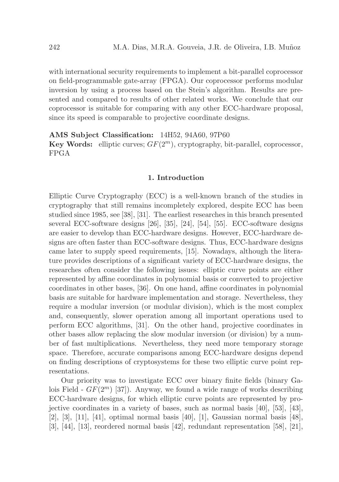with international security requirements to implement a bit-parallel coprocessor on field-programmable gate-array (FPGA). Our coprocessor performs modular inversion by using a process based on the Stein's algorithm. Results are presented and compared to results of other related works. We conclude that our coprocessor is suitable for comparing with any other ECC-hardware proposal, since its speed is comparable to projective coordinate designs.

## AMS Subject Classification: 14H52, 94A60, 97P60

**Key Words:** elliptic curves;  $GF(2^m)$ , cryptography, bit-parallel, coprocessor, FPGA

# 1. Introduction

Elliptic Curve Cryptography (ECC) is a well-known branch of the studies in cryptography that still remains incompletely explored, despite ECC has been studied since 1985, see [38], [31]. The earliest researches in this branch presented several ECC-software designs [26], [35], [24], [54], [55]. ECC-software designs are easier to develop than ECC-hardware designs. However, ECC-hardware designs are often faster than ECC-software designs. Thus, ECC-hardware designs came later to supply speed requirements, [15]. Nowadays, although the literature provides descriptions of a significant variety of ECC-hardware designs, the researches often consider the following issues: elliptic curve points are either represented by affine coordinates in polynomial basis or converted to projective coordinates in other bases, [36]. On one hand, affine coordinates in polynomial basis are suitable for hardware implementation and storage. Nevertheless, they require a modular inversion (or modular division), which is the most complex and, consequently, slower operation among all important operations used to perform ECC algorithms, [31]. On the other hand, projective coordinates in other bases allow replacing the slow modular inversion (or division) by a number of fast multiplications. Nevertheless, they need more temporary storage space. Therefore, accurate comparisons among ECC-hardware designs depend on finding descriptions of cryptosystems for these two elliptic curve point representations.

Our priority was to investigate ECC over binary finite fields (binary Galois Field -  $GF(2^m)$  [37]). Anyway, we found a wide range of works describing ECC-hardware designs, for which elliptic curve points are represented by projective coordinates in a variety of bases, such as normal basis [40], [53], [43], [2], [3], [11], [41], optimal normal basis [40], [1], Gaussian normal basis [48], [3], [44], [13], reordered normal basis [42], redundant representation [58], [21],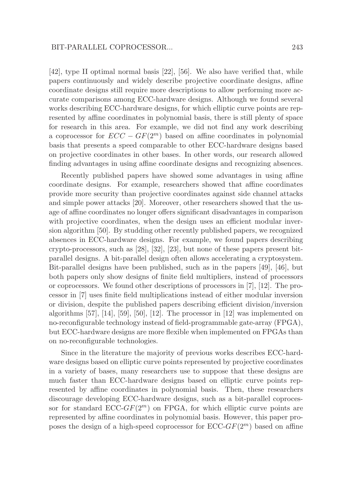[42], type II optimal normal basis [22], [56]. We also have verified that, while papers continuously and widely describe projective coordinate designs, affine coordinate designs still require more descriptions to allow performing more accurate comparisons among ECC-hardware designs. Although we found several works describing ECC-hardware designs, for which elliptic curve points are represented by affine coordinates in polynomial basis, there is still plenty of space for research in this area. For example, we did not find any work describing a coprocessor for  $ECC - GF(2<sup>m</sup>)$  based on affine coordinates in polynomial basis that presents a speed comparable to other ECC-hardware designs based on projective coordinates in other bases. In other words, our research allowed finding advantages in using affine coordinate designs and recognizing absences.

Recently published papers have showed some advantages in using affine coordinate designs. For example, researchers showed that affine coordinates provide more security than projective coordinates against side channel attacks and simple power attacks [20]. Moreover, other researchers showed that the usage of affine coordinates no longer offers significant disadvantages in comparison with projective coordinates, when the design uses an efficient modular inversion algorithm [50]. By studding other recently published papers, we recognized absences in ECC-hardware designs. For example, we found papers describing crypto-processors, such as [28], [32], [23], but none of these papers present bitparallel designs. A bit-parallel design often allows accelerating a cryptosystem. Bit-parallel designs have been published, such as in the papers [49], [46], but both papers only show designs of finite field multipliers, instead of processors or coprocessors. We found other descriptions of processors in [7], [12]. The processor in [7] uses finite field multiplications instead of either modular inversion or division, despite the published papers describing efficient division/inversion algorithms  $[57]$ ,  $[14]$ ,  $[59]$ ,  $[50]$ ,  $[12]$ . The processor in  $[12]$  was implemented on no-reconfigurable technology instead of field-programmable gate-array (FPGA), but ECC-hardware designs are more flexible when implemented on FPGAs than on no-reconfigurable technologies.

Since in the literature the majority of previous works describes ECC-hardware designs based on elliptic curve points represented by projective coordinates in a variety of bases, many researchers use to suppose that these designs are much faster than ECC-hardware designs based on elliptic curve points represented by affine coordinates in polynomial basis. Then, these researchers discourage developing ECC-hardware designs, such as a bit-parallel coprocessor for standard  $\text{ECC-}GF(2^m)$  on FPGA, for which elliptic curve points are represented by affine coordinates in polynomial basis. However, this paper proposes the design of a high-speed coprocessor for  $\text{ECC-}GF(2^m)$  based on affine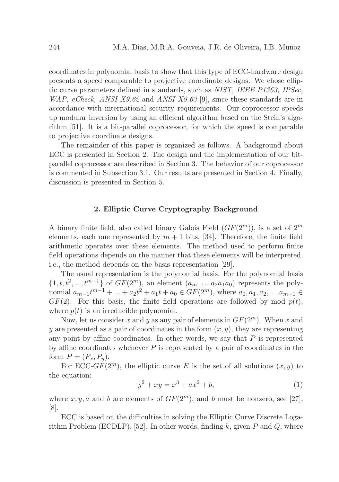coordinates in polynomial basis to show that this type of ECC-hardware design presents a speed comparable to projective coordinate designs. We chose elliptic curve parameters defined in standards, such as *NIST, IEEE P1363, IPSec, WAP, eCheck, ANSI X9.62* and *ANSI X9.63* [9], since these standards are in accordance with international security requirements. Our coprocessor speeds up modular inversion by using an efficient algorithm based on the Stein's algorithm [51]. It is a bit-parallel coprocessor, for which the speed is comparable to projective coordinate designs.

The remainder of this paper is organized as follows. A background about ECC is presented in Section 2. The design and the implementation of our bitparallel coprocessor are described in Section 3. The behavior of our coprocessor is commented in Subsection 3.1. Our results are presented in Section 4. Finally, discussion is presented in Section 5.

## 2. Elliptic Curve Cryptography Background

A binary finite field, also called binary Galois Field  $(GF(2<sup>m</sup>))$ , is a set of  $2<sup>m</sup>$ elements, each one represented by  $m + 1$  bits, [34]. Therefore, the finite field arithmetic operates over these elements. The method used to perform finite field operations depends on the manner that these elements will be interpreted, i.e., the method depends on the basis representation [29].

The usual representation is the polynomial basis. For the polynomial basis  $\{1, t, t^2, ..., t^{m-1}\}\$  of  $GF(2^m)$ , an element  $(a_{m-1}...a_2a_1a_0)$  represents the polynomial  $a_{m-1}t^{m-1} + ... + a_2t^2 + a_1t + a_0 \in GF(2^m)$ , where  $a_0, a_1, a_2, ..., a_{m-1} \in$  $GF(2)$ . For this basis, the finite field operations are followed by mod  $p(t)$ , where  $p(t)$  is an irreducible polynomial.

Now, let us consider x and y as any pair of elements in  $GF(2^m)$ . When x and y are presented as a pair of coordinates in the form  $(x, y)$ , they are representing any point by affine coordinates. In other words, we say that  $P$  is represented by affine coordinates whenever  $P$  is represented by a pair of coordinates in the form  $P=(P_x,P_y)$ .

For ECC- $GF(2^m)$ , the elliptic curve E is the set of all solutions  $(x, y)$  to the equation:

$$
y^2 + xy = x^3 + ax^2 + b,\tag{1}
$$

where  $x, y, a$  and b are elements of  $GF(2^m)$ , and b must be nonzero, see [27], [8].

ECC is based on the difficulties in solving the Elliptic Curve Discrete Logarithm Problem (ECDLP), [52]. In other words, finding  $k$ , given P and Q, where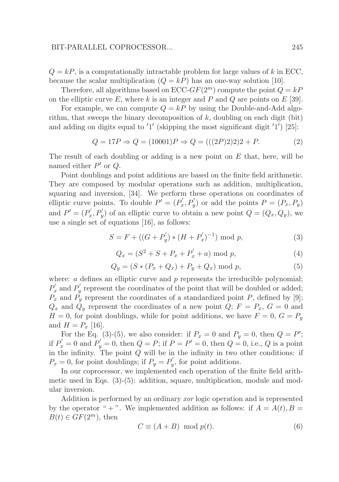## BIT-PARALLEL COPROCESSOR... 245

 $Q = kP$ , is a computationally intractable problem for large values of k in ECC. because the scalar multiplication  $(Q = kP)$  has an one-way solution [10].

Therefore, all algorithms based on ECC- $GF(2<sup>m</sup>)$  compute the point  $Q = kP$ on the elliptic curve E, where k is an integer and P and Q are points on  $E$  [39].

For example, we can compute  $Q = kP$  by using the Double-and-Add algorithm, that sweeps the binary decomposition of  $k$ , doubling on each digit (bit) and adding on digits equal to '1' (skipping the most significant digit '1') [25]:

$$
Q = 17P \Rightarrow Q = (10001)P \Rightarrow Q = (((2P)2)2)2 + P.
$$
 (2)

The result of each doubling or adding is a new point on  $E$  that, here, will be named either  $P'$  or  $Q$ .

Point doublings and point additions are based on the finite field arithmetic. They are composed by modular operations such as addition, multiplication, squaring and inversion, [34]. We perform these operations on coordinates of elliptic curve points. To double  $P' = (P'_x)$  $(x', P'_y)$  or add the points  $P = (P_x, P_y)$ and  $P' = (P'_x)$  $(x', P'_y)$  of an elliptic curve to obtain a new point  $Q = (Q_x, Q_y)$ , we use a single set of equations [16], as follows:

$$
S = F + ((G + P'_y) * (H + P'_x)^{-1}) \bmod p,
$$
 (3)

$$
Q_x = (S^2 + S + P_x + P'_x + a) \bmod p, \tag{4}
$$

$$
Q_y = (S * (P_x + Q_x) + P_y + Q_x) \bmod p, \tag{5}
$$

where:  $a$  defines an elliptic curve and  $p$  represents the irreducible polynomial;  $P'_x$  and  $P'_y$  $y'$  represent the coordinates of the point that will be doubled or added;  $P_x$  and  $P_y$  represent the coordinates of a standardized point P, defined by [9];  $Q_x$  and  $Q_y$  represent the coordinates of a new point  $Q$ ;  $F = P_x$ ,  $G = 0$  and  $H = 0$ , for point doublings, while for point additions, we have  $F = 0$ ,  $G = P_y$ and  $H = P_x$  [16].

For the Eq. (3)-(5), we also consider: if  $P_x = 0$  and  $P_y = 0$ , then  $Q = P'$ ; if  $P'_x = 0$  and  $P'_y = 0$ , then  $Q = P$ ; if  $P = P' = 0$ , then  $Q = 0$ , i.e., Q is a point in the infinity. The point  $Q$  will be in the infinity in two other conditions: if  $P_x = 0$ , for point doublings; if  $P_y = P'_y$  $y'$ , for point additions.

In our coprocessor, we implemented each operation of the finite field arithmetic used in Eqs. (3)-(5): addition, square, multiplication, module and modular inversion.

Addition is performed by an ordinary *xor* logic operation and is represented by the operator " + ". We implemented addition as follows: if  $A = A(t)$ ,  $B =$  $B(t) \in GF(2^m)$ , then

$$
C \equiv (A + B) \mod p(t). \tag{6}
$$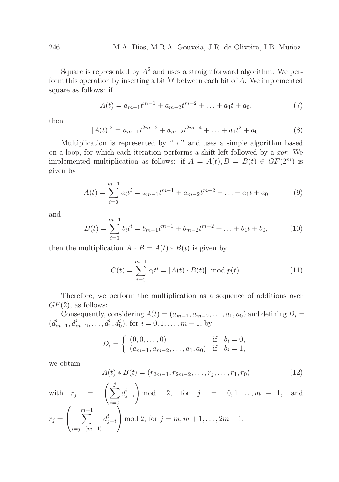Square is represented by  $A^2$  and uses a straightforward algorithm. We perform this operation by inserting a bit '0' between each bit of A. We implemented square as follows: if

$$
A(t) = a_{m-1}t^{m-1} + a_{m-2}t^{m-2} + \ldots + a_1t + a_0,
$$
\n<sup>(7)</sup>

then

$$
[A(t)]^2 = a_{m-1}t^{2m-2} + a_{m-2}t^{2m-4} + \dots + a_1t^2 + a_0.
$$
 (8)

Multiplication is represented by " $*$ " and uses a simple algorithm based on a loop, for which each iteration performs a shift left followed by a *xor*. We implemented multiplication as follows: if  $A = A(t), B = B(t) \in GF(2^m)$  is given by

$$
A(t) = \sum_{i=0}^{m-1} a_i t^i = a_{m-1} t^{m-1} + a_{m-2} t^{m-2} + \dots + a_1 t + a_0 \tag{9}
$$

and

$$
B(t) = \sum_{i=0}^{m-1} b_i t^i = b_{m-1} t^{m-1} + b_{m-2} t^{m-2} + \ldots + b_1 t + b_0, \qquad (10)
$$

then the multiplication  $A * B = A(t) * B(t)$  is given by

$$
C(t) = \sum_{i=0}^{m-1} c_i t^i = [A(t) \cdot B(t)] \mod p(t).
$$
 (11)

Therefore, we perform the multiplication as a sequence of additions over  $GF(2)$ , as follows:

Consequently, considering  $A(t) = (a_{m-1}, a_{m-2}, \ldots, a_1, a_0)$  and defining  $D_i =$  $(d_{m-1}^i, d_{m-2}^i, \ldots, d_1^i, d_0^i)$ , for  $i = 0, 1, \ldots, m-1$ , by

$$
D_i = \begin{cases} (0,0,\dots,0) & \text{if } b_i = 0, \\ (a_{m-1}, a_{m-2},\dots, a_1, a_0) & \text{if } b_i = 1, \end{cases}
$$

we obtain

$$
A(t) * B(t) = (r_{2m-1}, r_{2m-2}, \dots, r_j, \dots, r_1, r_0)
$$
\n(12)

with  $r_j = \left(\sum_{j=1}^j \right)$  $i=0$  $d_{j-i}^i$  $\setminus$ mod 2, for  $j = 0, 1, ..., m - 1$ , and  $r_j =$  $\sqrt{ }$  $\overline{1}$  $\sum^{m-1}$  $i=j-(m-1)$  $d_{j-i}^i$  $\setminus$ | mod 2, for  $j = m, m + 1, ..., 2m - 1$ .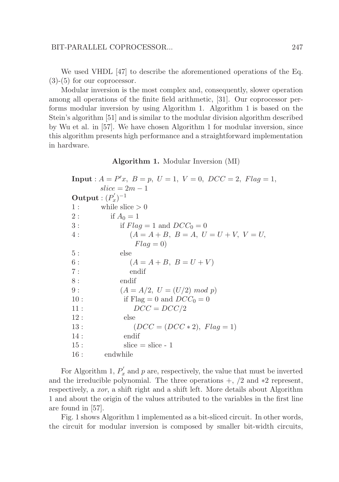We used VHDL [47] to describe the aforementioned operations of the Eq.  $(3)-(5)$  for our coprocessor.

Modular inversion is the most complex and, consequently, slower operation among all operations of the finite field arithmetic, [31]. Our coprocessor performs modular inversion by using Algorithm 1. Algorithm 1 is based on the Stein's algorithm [51] and is similar to the modular division algorithm described by Wu et al. in [57]. We have chosen Algorithm 1 for modular inversion, since this algorithm presents high performance and a straightforward implementation in hardware.

Algorithm 1. Modular Inversion (MI)

**Input** :  $A = P'x$ ,  $B = p$ ,  $U = 1$ ,  $V = 0$ ,  $DCC = 2$ ,  $Flag = 1$ ,  $slice = 2m - 1$ Output :  $(P'_x)$  $(x')^{-1}$ 1 : while slice  $> 0$ 2 : if  $A_0 = 1$ 3 : if  $Flag = 1$  and  $DCC_0 = 0$ 4 :  $(A = A + B, B = A, U = U + V, V = U,$  $Flag = 0$ 5 : else 6 :  $(A = A + B, B = U + V)$ 7 : endif 8 : endif 9 :  $(A = A/2, U = (U/2) \mod p)$ 10 : if  $Flag = 0$  and  $DCC_0 = 0$ 11 :  $DCC = DCC/2$ 12 : else 13 :  $(DCC = (DCC * 2), Flag = 1)$ 14 : endif  $15:$  slice = slice - 1 16 : endwhile

For Algorithm 1,  $P'_x$  $x'$  and p are, respectively, the value that must be inverted and the irreducible polynomial. The three operations  $+$ ,  $/2$  and  $*2$  represent, respectively, a *xor*, a shift right and a shift left. More details about Algorithm 1 and about the origin of the values attributed to the variables in the first line are found in [57].

Fig. 1 shows Algorithm 1 implemented as a bit-sliced circuit. In other words, the circuit for modular inversion is composed by smaller bit-width circuits,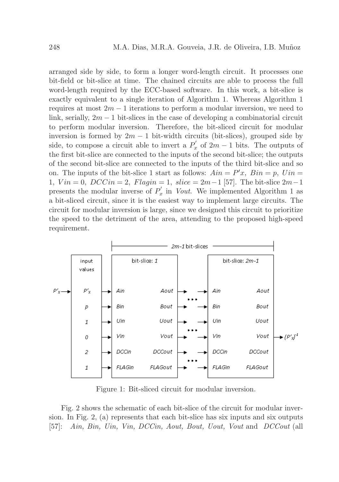arranged side by side, to form a longer word-length circuit. It processes one bit-field or bit-slice at time. The chained circuits are able to process the full word-length required by the ECC-based software. In this work, a bit-slice is exactly equivalent to a single iteration of Algorithm 1. Whereas Algorithm 1 requires at most  $2m - 1$  iterations to perform a modular inversion, we need to link, serially,  $2m - 1$  bit-slices in the case of developing a combinatorial circuit to perform modular inversion. Therefore, the bit-sliced circuit for modular inversion is formed by  $2m - 1$  bit-width circuits (bit-slices), grouped side by side, to compose a circuit able to invert a  $P'_x$  $\int_{x}^{\prime}$  of  $2m-1$  bits. The outputs of the first bit-slice are connected to the inputs of the second bit-slice; the outputs of the second bit-slice are connected to the inputs of the third bit-slice and so on. The inputs of the bit-slice 1 start as follows:  $Ain = P'x$ ,  $Bin = p$ ,  $Uni =$ 1,  $V$ *in* = 0,  $DCC$ *in* = 2,  $Flag$ *in* = 1,  $slice = 2m-1$  [57]. The bit-slice  $2m-1$ presents the modular inverse of  $P'_x$  $y'_x$  in *Vout*. We implemented Algorithm 1 as a bit-sliced circuit, since it is the easiest way to implement large circuits. The circuit for modular inversion is large, since we designed this circuit to prioritize the speed to the detriment of the area, attending to the proposed high-speed requirement.



Figure 1: Bit-sliced circuit for modular inversion.

Fig. 2 shows the schematic of each bit-slice of the circuit for modular inversion. In Fig. 2, (a) represents that each bit-slice has six inputs and six outputs [57]: *Ain, Bin, Uin, Vin, DCCin, Aout, Bout, Uout, Vout* and *DCCout* (all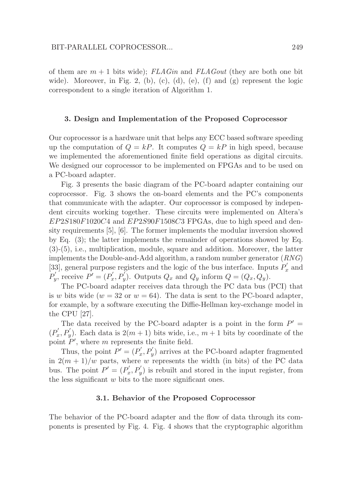of them are m + 1 bits wide); *FLAGin* and *FLAGout* (they are both one bit wide). Moreover, in Fig. 2, (b), (c), (d), (e), (f) and (g) represent the logic correspondent to a single iteration of Algorithm 1.

#### 3. Design and Implementation of the Proposed Coprocessor

Our coprocessor is a hardware unit that helps any ECC based software speeding up the computation of  $Q = kP$ . It computes  $Q = kP$  in high speed, because we implemented the aforementioned finite field operations as digital circuits. We designed our coprocessor to be implemented on FPGAs and to be used on a PC-board adapter.

Fig. 3 presents the basic diagram of the PC-board adapter containing our coprocessor. Fig. 3 shows the on-board elements and the PC's components that communicate with the adapter. Our coprocessor is composed by independent circuits working together. These circuits were implemented on Altera's EP2S180F1020C4 and EP2S90F1508C3 FPGAs, due to high speed and density requirements [5], [6]. The former implements the modular inversion showed by Eq. (3); the latter implements the remainder of operations showed by Eq. (3)-(5), i.e., multiplication, module, square and addition. Moreover, the latter implements the Double-and-Add algorithm, a random number generator (*RNG*) [33], general purpose registers and the logic of the bus interface. Inputs  $P'_x$  $x \text{ and}$  $P'_u$  $p'$ , receive  $P'=(P'_x)$  $Q'_x, P'_y$ ). Outputs  $Q_x$  and  $Q_y$  inform  $Q = (Q_x, Q_y)$ .

The PC-board adapter receives data through the PC data bus (PCI) that is w bits wide ( $w = 32$  or  $w = 64$ ). The data is sent to the PC-board adapter, for example, by a software executing the Diffie-Hellman key-exchange model in the CPU [27].

The data received by the PC-board adapter is a point in the form  $P' =$  $(P'_\alpha$  $x'_{x}, P'_{y}$ ). Each data is  $2(m+1)$  bits wide, i.e.,  $m+1$  bits by coordinate of the point  $P'$ , where m represents the finite field.

Thus, the point  $P' = (P'_x)$  $x'$ ,  $P'_y$ ) arrives at the PC-board adapter fragmented in  $2(m+1)/w$  parts, where w represents the width (in bits) of the PC data bus. The point  $P' = (P'_x)$  $(x', P'_y)$  is rebuilt and stored in the input register, from the less significant  $w$  bits to the more significant ones.

#### 3.1. Behavior of the Proposed Coprocessor

The behavior of the PC-board adapter and the flow of data through its components is presented by Fig. 4. Fig. 4 shows that the cryptographic algorithm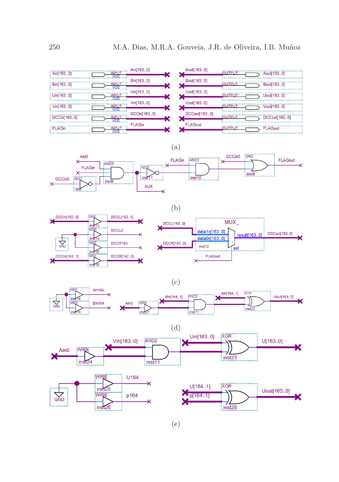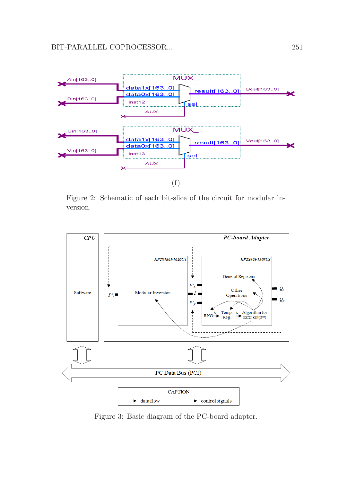

Figure 2: Schematic of each bit-slice of the circuit for modular inversion.



Figure 3: Basic diagram of the PC-board adapter.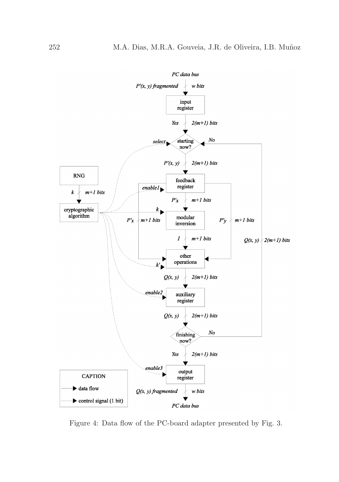![](_page_11_Figure_1.jpeg)

Figure 4: Data flow of the PC-board adapter presented by Fig. 3.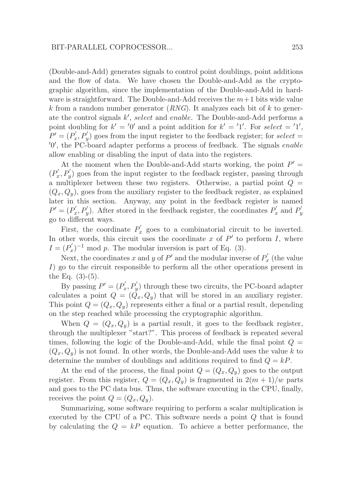(Double-and-Add) generates signals to control point doublings, point additions and the flow of data. We have chosen the Double-and-Add as the cryptographic algorithm, since the implementation of the Double-and-Add in hardware is straightforward. The Double-and-Add receives the  $m+1$  bits wide value k from a random number generator  $(RNG)$ . It analyzes each bit of k to generate the control signals  $k'$ , select and enable. The Double-and-Add performs a point doubling for  $k' = 0'$  and a point addition for  $k' = 1'$ . For select = '1',  $P' = (P'_x)$  $(x', P'_y)$  goes from the input register to the feedback register; for select = ′0 ′ , the PC-board adapter performs a process of feedback. The signals enable allow enabling or disabling the input of data into the registers.

At the moment when the Double-and-Add starts working, the point  $P' =$  $(P'_\mathcal{I})$  $(x', P'_y)$  goes from the input register to the feedback register, passing through a multiplexer between these two registers. Otherwise, a partial point  $Q =$  $(Q_x, Q_y)$ , goes from the auxiliary register to the feedback register, as explained later in this section. Anyway, any point in the feedback register is named  $P' = (P'_x)$  $x'$ ,  $P'_y$ ). After stored in the feedback register, the coordinates  $P'_x$  $P'_x$  and  $P'_y$  $\overline{y}$ go to different ways.

First, the coordinate  $P'_x$  $x'$  goes to a combinatorial circuit to be inverted. In other words, this circuit uses the coordinate  $x$  of  $P'$  to perform  $I$ , where  $I=(P'_x)$  $(x')^{-1}$  mod p. The modular inversion is part of Eq. (3).

Next, the coordinates x and y of P' and the modular inverse of  $P'_x$  $x'$  (the value I) go to the circuit responsible to perform all the other operations present in the Eq.  $(3)-(5)$ .

By passing  $P' = (P'_x)$  $x'$ ,  $P'_y$ ) through these two circuits, the PC-board adapter calculates a point  $Q = (\tilde{Q}_x, Q_y)$  that will be stored in an auxiliary register. This point  $Q = (Q_x, Q_y)$  represents either a final or a partial result, depending on the step reached while processing the cryptographic algorithm.

When  $Q = (Q_x, Q_y)$  is a partial result, it goes to the feedback register, through the multiplexer "start?". This process of feedback is repeated several times, following the logic of the Double-and-Add, while the final point  $Q =$  $(Q_x, Q_y)$  is not found. In other words, the Double-and-Add uses the value k to determine the number of doublings and additions required to find  $Q = kP$ .

At the end of the process, the final point  $Q = (Q_x, Q_y)$  goes to the output register. From this register,  $Q = (Q_x, Q_y)$  is fragmented in  $2(m+1)/w$  parts and goes to the PC data bus. Thus, the software executing in the CPU, finally, receives the point  $Q = (Q_x, Q_y)$ .

Summarizing, some software requiring to perform a scalar multiplication is executed by the CPU of a PC. This software needs a point Q that is found by calculating the  $Q = kP$  equation. To achieve a better performance, the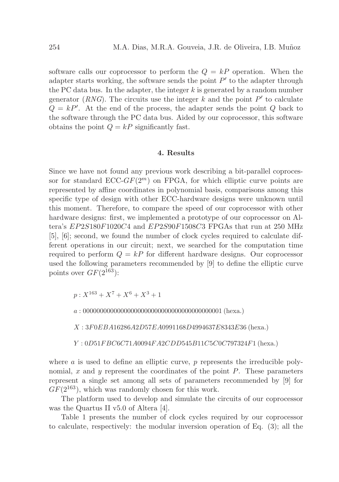software calls our coprocessor to perform the  $Q = kP$  operation. When the adapter starts working, the software sends the point  $P'$  to the adapter through the PC data bus. In the adapter, the integer  $k$  is generated by a random number generator ( $RNG$ ). The circuits use the integer  $k$  and the point  $P'$  to calculate  $Q = kP'$ . At the end of the process, the adapter sends the point Q back to the software through the PC data bus. Aided by our coprocessor, this software obtains the point  $Q = kP$  significantly fast.

## 4. Results

Since we have not found any previous work describing a bit-parallel coprocessor for standard  $\text{ECC-}GF(2^m)$  on FPGA, for which elliptic curve points are represented by affine coordinates in polynomial basis, comparisons among this specific type of design with other ECC-hardware designs were unknown until this moment. Therefore, to compare the speed of our coprocessor with other hardware designs: first, we implemented a prototype of our coprocessor on Altera's EP2S180F1020C4 and EP2S90F1508C3 FPGAs that run at 250 MHz [5], [6]; second, we found the number of clock cycles required to calculate different operations in our circuit; next, we searched for the computation time required to perform  $Q = kP$  for different hardware designs. Our coprocessor used the following parameters recommended by [9] to define the elliptic curve points over  $GF(2^{163})$ :

 $p: X^{163} + X^7 + X^6 + X^3 + 1$ 

a : 00000000000000000000000000000000000000001 (hexa.)

X : 3F0EBA16286A2D57EA0991168D4994637E8343E36 (hexa.)

Y : 0D51F BC6C71A0094F A2CDD545B11C5C0C797324F1 (hexa.)

where  $a$  is used to define an elliptic curve,  $p$  represents the irreducible polynomial, x and y represent the coordinates of the point  $P$ . These parameters represent a single set among all sets of parameters recommended by [9] for  $GF(2^{163})$ , which was randomly chosen for this work.

The platform used to develop and simulate the circuits of our coprocessor was the Quartus II v5.0 of Altera [4].

Table 1 presents the number of clock cycles required by our coprocessor to calculate, respectively: the modular inversion operation of Eq. (3); all the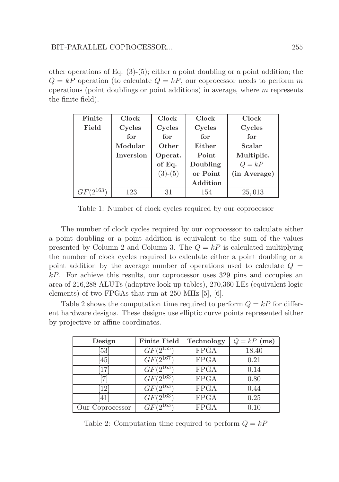other operations of Eq.  $(3)-(5)$ ; either a point doubling or a point addition; the  $Q = kP$  operation (to calculate  $Q = kP$ , our coprocessor needs to perform m operations (point doublings or point additions) in average, where  $m$  represents the finite field).

| Finite | <b>Clock</b>     | Clock     | Clock    | Clock         |
|--------|------------------|-----------|----------|---------------|
| Field  | Cycles           | Cycles    | Cycles   | Cycles        |
|        | for              | for       | for      | for           |
|        | Modular          | Other     | Either   | <b>Scalar</b> |
|        | <b>Inversion</b> | Operat.   | Point    | Multiplic.    |
|        |                  | of Eq.    | Doubling | $Q = kP$      |
|        |                  | $(3)-(5)$ | or Point | (in Average)  |
|        |                  |           | Addition |               |
|        | 123              | 31        | 154      | 25,013        |

Table 1: Number of clock cycles required by our coprocessor

The number of clock cycles required by our coprocessor to calculate either a point doubling or a point addition is equivalent to the sum of the values presented by Column 2 and Column 3. The  $Q = kP$  is calculated multiplying the number of clock cycles required to calculate either a point doubling or a point addition by the average number of operations used to calculate  $Q =$ kP. For achieve this results, our coprocessor uses 329 pins and occupies an area of 216,288 ALUTs (adaptive look-up tables), 270,360 LEs (equivalent logic elements) of two FPGAs that run at 250 MHz [5], [6].

Table 2 shows the computation time required to perform  $Q = kP$  for different hardware designs. These designs use elliptic curve points represented either by projective or affine coordinates.

| Design          | <b>Finite Field</b> | Technology  | $Q = kP$ (ms) |
|-----------------|---------------------|-------------|---------------|
| 53              | $GF(2^{155})$       | <b>FPGA</b> | 18.40         |
| 45 <sup>1</sup> | $GF(2^{167})$       | <b>FPGA</b> | 0.21          |
| 17              | $GF(2^{163})$       | <b>FPGA</b> | 0.14          |
|                 | $GF(2^{163})$       | <b>FPGA</b> | 0.80          |
| 12              | $GF(2^{163})$       | <b>FPGA</b> | 0.44          |
| -41'            | 163<br>GF           | <b>FPGA</b> | 0.25          |
| Our Coprocessor | $\sqrt{2163}$       | <b>FPGA</b> | 0.10          |

Table 2: Computation time required to perform  $Q = kP$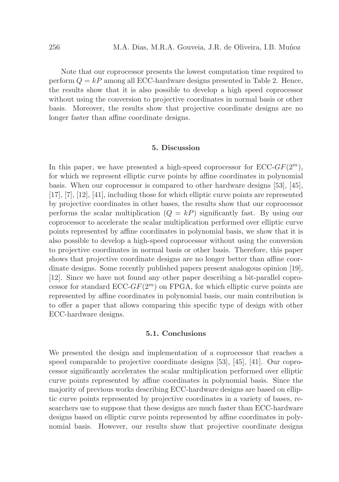Note that our coprocessor presents the lowest computation time required to perform  $Q = kP$  among all ECC-hardware designs presented in Table 2. Hence, the results show that it is also possible to develop a high speed coprocessor without using the conversion to projective coordinates in normal basis or other basis. Moreover, the results show that projective coordinate designs are no longer faster than affine coordinate designs.

#### 5. Discussion

In this paper, we have presented a high-speed coprocessor for  $\text{ECC-}GF(2^m)$ , for which we represent elliptic curve points by affine coordinates in polynomial basis. When our coprocessor is compared to other hardware designs [53], [45], [17], [7], [12], [41], including those for which elliptic curve points are represented by projective coordinates in other bases, the results show that our coprocessor performs the scalar multiplication  $(Q = kP)$  significantly fast. By using our coprocessor to accelerate the scalar multiplication performed over elliptic curve points represented by affine coordinates in polynomial basis, we show that it is also possible to develop a high-speed coprocessor without using the conversion to projective coordinates in normal basis or other basis. Therefore, this paper shows that projective coordinate designs are no longer better than affine coordinate designs. Some recently published papers present analogous opinion [19], [12]. Since we have not found any other paper describing a bit-parallel coprocessor for standard  $\text{ECC-}GF(2^m)$  on FPGA, for which elliptic curve points are represented by affine coordinates in polynomial basis, our main contribution is to offer a paper that allows comparing this specific type of design with other ECC-hardware designs.

## 5.1. Conclusions

We presented the design and implementation of a coprocessor that reaches a speed comparable to projective coordinate designs [53], [45], [41]. Our coprocessor significantly accelerates the scalar multiplication performed over elliptic curve points represented by affine coordinates in polynomial basis. Since the majority of previous works describing ECC-hardware designs are based on elliptic curve points represented by projective coordinates in a variety of bases, researchers use to suppose that these designs are much faster than ECC-hardware designs based on elliptic curve points represented by affine coordinates in polynomial basis. However, our results show that projective coordinate designs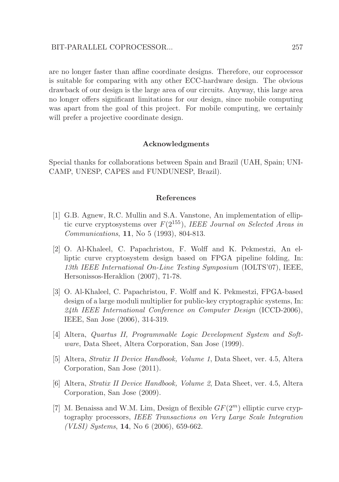are no longer faster than affine coordinate designs. Therefore, our coprocessor is suitable for comparing with any other ECC-hardware design. The obvious drawback of our design is the large area of our circuits. Anyway, this large area no longer offers significant limitations for our design, since mobile computing was apart from the goal of this project. For mobile computing, we certainly will prefer a projective coordinate design.

#### Acknowledgments

Special thanks for collaborations between Spain and Brazil (UAH, Spain; UNI-CAMP, UNESP, CAPES and FUNDUNESP, Brazil).

#### References

- [1] G.B. Agnew, R.C. Mullin and S.A. Vanstone, An implementation of elliptic curve cryptosystems over F(2155), *IEEE Journal on Selected Areas in Communications*, 11, No 5 (1993), 804-813.
- [2] O. Al-Khaleel, C. Papachristou, F. Wolff and K. Pekmestzi, An elliptic curve cryptosystem design based on FPGA pipeline folding, In: *13th IEEE International On-Line Testing Symposium* (IOLTS'07), IEEE, Hersonissos-Heraklion (2007), 71-78.
- [3] O. Al-Khaleel, C. Papachristou, F. Wolff and K. Pekmestzi, FPGA-based design of a large moduli multiplier for public-key cryptographic systems, In: *24th IEEE International Conference on Computer Design* (ICCD-2006), IEEE, San Jose (2006), 314-319.
- [4] Altera, *Quartus II, Programmable Logic Development System and Software*, Data Sheet, Altera Corporation, San Jose (1999).
- [5] Altera, *Stratix II Device Handbook, Volume 1*, Data Sheet, ver. 4.5, Altera Corporation, San Jose (2011).
- [6] Altera, *Stratix II Device Handbook, Volume 2*, Data Sheet, ver. 4.5, Altera Corporation, San Jose (2009).
- [7] M. Benaissa and W.M. Lim, Design of flexible  $GF(2<sup>m</sup>)$  elliptic curve cryptography processors, *IEEE Transactions on Very Large Scale Integration (VLSI) Systems*, 14, No 6 (2006), 659-662.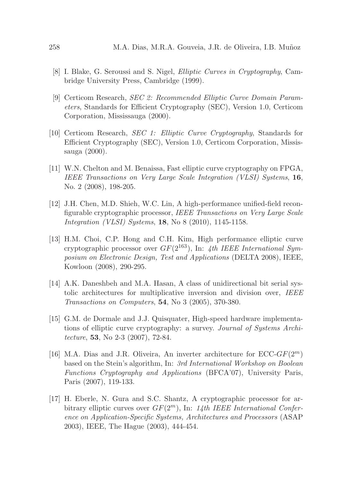- [8] I. Blake, G. Seroussi and S. Nigel, *Elliptic Curves in Cryptography*, Cambridge University Press, Cambridge (1999).
- [9] Certicom Research, *SEC 2: Recommended Elliptic Curve Domain Parameters*, Standards for Efficient Cryptography (SEC), Version 1.0, Certicom Corporation, Mississauga (2000).
- [10] Certicom Research, *SEC 1: Elliptic Curve Cryptography*, Standards for Efficient Cryptography (SEC), Version 1.0, Certicom Corporation, Mississauga (2000).
- [11] W.N. Chelton and M. Benaissa, Fast elliptic curve cryptography on FPGA, *IEEE Transactions on Very Large Scale Integration (VLSI) Systems*, 16, No. 2 (2008), 198-205.
- [12] J.H. Chen, M.D. Shieh, W.C. Lin, A high-performance unified-field reconfigurable cryptographic processor, *IEEE Transactions on Very Large Scale Integration (VLSI) Systems*, 18, No 8 (2010), 1145-1158.
- [13] H.M. Choi, C.P. Hong and C.H. Kim, High performance elliptic curve cryptographic processor over GF(2163), In: *4th IEEE International Symposium on Electronic Design, Test and Applications* (DELTA 2008), IEEE, Kowloon (2008), 290-295.
- [14] A.K. Daneshbeh and M.A. Hasan, A class of unidirectional bit serial systolic architectures for multiplicative inversion and division over, *IEEE Transactions on Computers*, 54, No 3 (2005), 370-380.
- [15] G.M. de Dormale and J.J. Quisquater, High-speed hardware implementations of elliptic curve cryptography: a survey. *Journal of Systems Architecture*, 53, No 2-3 (2007), 72-84.
- [16] M.A. Dias and J.R. Oliveira, An inverter architecture for  $\text{ECC-}GF(2^m)$ based on the Stein's algorithm, In: *3rd International Workshop on Boolean Functions Cryptography and Applications* (BFCA'07), University Paris, Paris (2007), 119-133.
- [17] H. Eberle, N. Gura and S.C. Shantz, A cryptographic processor for arbitrary elliptic curves over GF(2m), In: *14th IEEE International Conference on Application-Specific Systems, Architectures and Processors* (ASAP 2003), IEEE, The Hague (2003), 444-454.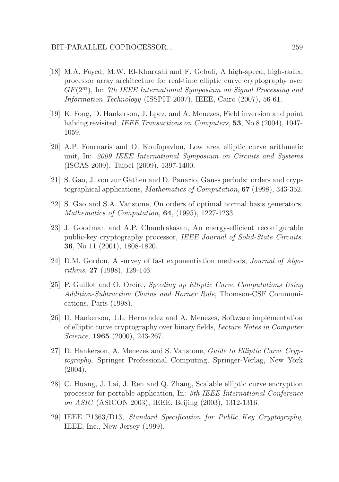- [18] M.A. Fayed, M.W. El-Kharashi and F. Gebali, A high-speed, high-radix, processor array architecture for real-time elliptic curve cryptography over GF(2m), In: *7th IEEE International Symposium on Signal Processing and Information Technology* (ISSPIT 2007), IEEE, Cairo (2007), 56-61.
- [19] K. Fong, D. Hankerson, J. Lpez, and A. Menezes, Field inversion and point halving revisited, *IEEE Transactions on Computers*, 53, No 8 (2004), 1047- 1059.
- [20] A.P. Fournaris and O. Koufopavlou, Low area elliptic curve arithmetic unit, In: *2009 IEEE International Symposium on Circuits and Systems* (ISCAS 2009), Taipei (2009), 1397-1400.
- [21] S. Gao, J. von zur Gathen and D. Panario, Gauss periods: orders and cryptographical applications, *Mathematics of Computation*, 67 (1998), 343-352.
- [22] S. Gao and S.A. Vanstone, On orders of optimal normal basis generators, *Mathematics of Computation*, 64, (1995), 1227-1233.
- [23] J. Goodman and A.P. Chandrakasan, An energy-efficient reconfigurable public-key cryptography processor, *IEEE Journal of Solid-State Circuits*, 36, No 11 (2001), 1808-1820.
- [24] D.M. Gordon, A survey of fast exponentiation methods, *Journal of Algorithms*, 27 (1998), 129-146.
- [25] P. Guillot and O. Orcire, *Speeding up Elliptic Curve Computations Using Addition-Subtraction Chains and Horner Rule*, Thomson-CSF Communications, Paris (1998).
- [26] D. Hankerson, J.L. Hernandez and A. Menezes, Software implementation of elliptic curve cryptography over binary fields, *Lecture Notes in Computer Science*, 1965 (2000), 243-267.
- [27] D. Hankerson, A. Menezes and S. Vanstone, *Guide to Elliptic Curve Cryptography*, Springer Professional Computing, Springer-Verlag, New York  $(2004).$
- [28] C. Huang, J. Lai, J. Ren and Q. Zhang, Scalable elliptic curve encryption processor for portable application, In: *5th IEEE International Conference on ASIC* (ASICON 2003), IEEE, Beijing (2003), 1312-1316.
- [29] IEEE P1363/D13, *Standard Specification for Public Key Cryptography*, IEEE, Inc., New Jersey (1999).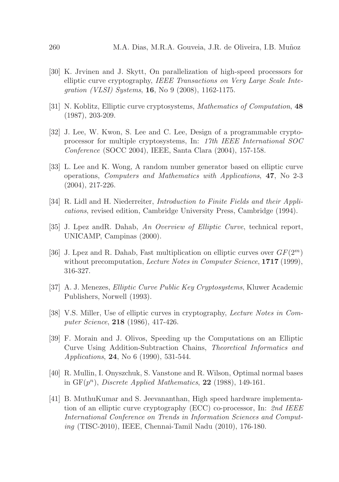- [30] K. Jrvinen and J. Skytt, On parallelization of high-speed processors for elliptic curve cryptography, *IEEE Transactions on Very Large Scale Integration (VLSI) Systems*, 16, No 9 (2008), 1162-1175.
- [31] N. Koblitz, Elliptic curve cryptosystems, *Mathematics of Computation*, 48 (1987), 203-209.
- [32] J. Lee, W. Kwon, S. Lee and C. Lee, Design of a programmable cryptoprocessor for multiple cryptosystems, In: *17th IEEE International SOC Conference* (SOCC 2004), IEEE, Santa Clara (2004), 157-158.
- [33] L. Lee and K. Wong, A random number generator based on elliptic curve operations, *Computers and Mathematics with Applications*, 47, No 2-3 (2004), 217-226.
- [34] R. Lidl and H. Niederreiter, *Introduction to Finite Fields and their Applications*, revised edition, Cambridge University Press, Cambridge (1994).
- [35] J. Lpez andR. Dahab, *An Overview of Elliptic Curve*, technical report, UNICAMP, Campinas (2000).
- [36] J. Lpez and R. Dahab, Fast multiplication on elliptic curves over  $GF(2<sup>m</sup>)$ without precomputation, *Lecture Notes in Computer Science*, 1717 (1999), 316-327.
- [37] A. J. Menezes, *Elliptic Curve Public Key Cryptosystems*, Kluwer Academic Publishers, Norwell (1993).
- [38] V.S. Miller, Use of elliptic curves in cryptography, *Lecture Notes in Computer Science*, 218 (1986), 417-426.
- [39] F. Morain and J. Olivos, Speeding up the Computations on an Elliptic Curve Using Addition-Subtraction Chains, *Theoretical Informatics and Applications*, 24, No 6 (1990), 531-544.
- [40] R. Mullin, I. Onyszchuk, S. Vanstone and R. Wilson, Optimal normal bases in  $GF(p^n)$ , *Discrete Applied Mathematics*, **22** (1988), 149-161.
- [41] B. MuthuKumar and S. Jeevananthan, High speed hardware implementation of an elliptic curve cryptography (ECC) co-processor, In: *2nd IEEE International Conference on Trends in Information Sciences and Computing* (TISC-2010), IEEE, Chennai-Tamil Nadu (2010), 176-180.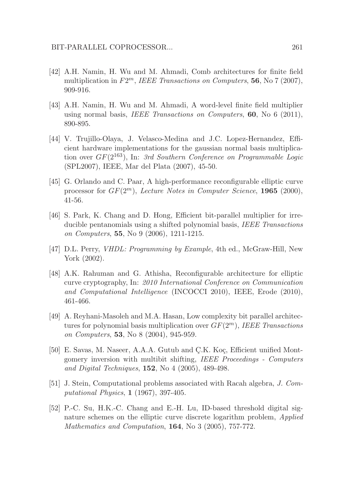- [42] A.H. Namin, H. Wu and M. Ahmadi, Comb architectures for finite field multiplication in  $F2^m$ , *IEEE Transactions on Computers*, **56**, No 7 (2007), 909-916.
- [43] A.H. Namin, H. Wu and M. Ahmadi, A word-level finite field multiplier using normal basis, *IEEE Transactions on Computers*, 60, No 6 (2011), 890-895.
- [44] V. Trujillo-Olaya, J. Velasco-Medina and J.C. Lopez-Hernandez, Efficient hardware implementations for the gaussian normal basis multiplication over GF(2163), In: *3rd Southern Conference on Programmable Logic* (SPL2007), IEEE, Mar del Plata (2007), 45-50.
- [45] G. Orlando and C. Paar, A high-performance reconfigurable elliptic curve processor for GF(2m), *Lecture Notes in Computer Science*, 1965 (2000), 41-56.
- [46] S. Park, K. Chang and D. Hong, Efficient bit-parallel multiplier for irreducible pentanomials using a shifted polynomial basis, *IEEE Transactions on Computers*, 55, No 9 (2006), 1211-1215.
- [47] D.L. Perry, *VHDL: Programming by Example*, 4th ed., McGraw-Hill, New York (2002).
- [48] A.K. Rahuman and G. Athisha, Reconfigurable architecture for elliptic curve cryptography, In: *2010 International Conference on Communication and Computational Intelligence* (INCOCCI 2010), IEEE, Erode (2010), 461-466.
- [49] A. Reyhani-Masoleh and M.A. Hasan, Low complexity bit parallel architectures for polynomial basis multiplication over GF(2m), *IEEE Transactions on Computers*, 53, No 8 (2004), 945-959.
- [50] E. Savas, M. Naseer, A.A.A. Gutub and C.K. Koc, Efficient unified Montgomery inversion with multibit shifting, *IEEE Proceedings - Computers and Digital Techniques*, 152, No 4 (2005), 489-498.
- [51] J. Stein, Computational problems associated with Racah algebra, *J. Computational Physics*, 1 (1967), 397-405.
- [52] P.-C. Su, H.K.-C. Chang and E.-H. Lu, ID-based threshold digital signature schemes on the elliptic curve discrete logarithm problem, *Applied Mathematics and Computation*, 164, No 3 (2005), 757-772.